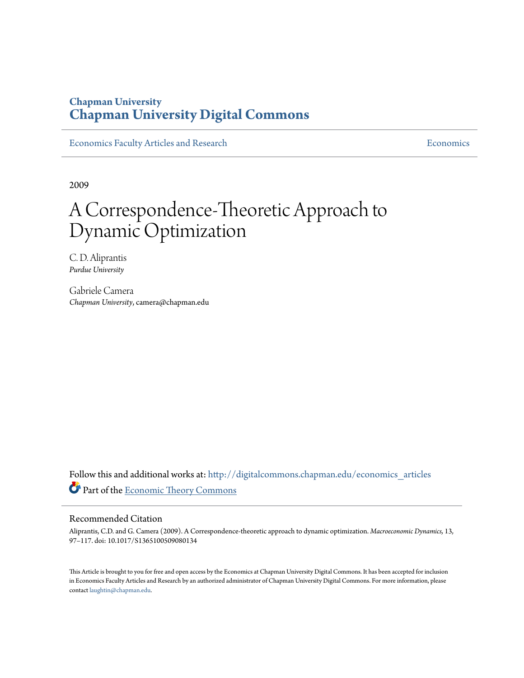### **Chapman University [Chapman University Digital Commons](http://digitalcommons.chapman.edu?utm_source=digitalcommons.chapman.edu%2Feconomics_articles%2F62&utm_medium=PDF&utm_campaign=PDFCoverPages)**

[Economics Faculty Articles and Research](http://digitalcommons.chapman.edu/economics_articles?utm_source=digitalcommons.chapman.edu%2Feconomics_articles%2F62&utm_medium=PDF&utm_campaign=PDFCoverPages) **[Economics](http://digitalcommons.chapman.edu/economics?utm_source=digitalcommons.chapman.edu%2Feconomics_articles%2F62&utm_medium=PDF&utm_campaign=PDFCoverPages)** Economics

2009

# A Correspondence-Theoretic Approach to Dynamic Optimization

C. D. Aliprantis *Purdue University*

Gabriele Camera *Chapman University*, camera@chapman.edu

Follow this and additional works at: [http://digitalcommons.chapman.edu/economics\\_articles](http://digitalcommons.chapman.edu/economics_articles?utm_source=digitalcommons.chapman.edu%2Feconomics_articles%2F62&utm_medium=PDF&utm_campaign=PDFCoverPages) Part of the [Economic Theory Commons](http://network.bepress.com/hgg/discipline/344?utm_source=digitalcommons.chapman.edu%2Feconomics_articles%2F62&utm_medium=PDF&utm_campaign=PDFCoverPages)

#### Recommended Citation

Aliprantis, C.D. and G. Camera (2009). A Correspondence-theoretic approach to dynamic optimization. *Macroeconomic Dynamics,* 13, 97–117. doi: 10.1017/S1365100509080134

This Article is brought to you for free and open access by the Economics at Chapman University Digital Commons. It has been accepted for inclusion in Economics Faculty Articles and Research by an authorized administrator of Chapman University Digital Commons. For more information, please contact [laughtin@chapman.edu](mailto:laughtin@chapman.edu).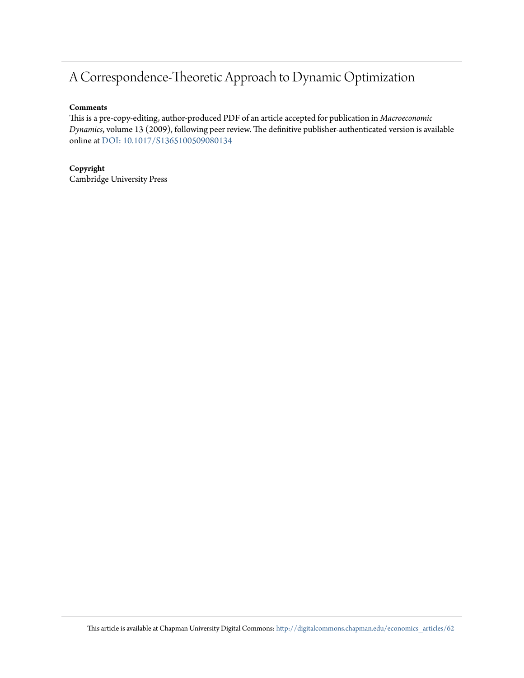## A Correspondence-Theoretic Approach to Dynamic Optimization

#### **Comments**

This is a pre-copy-editing, author-produced PDF of an article accepted for publication in *Macroeconomic Dynamics*, volume 13 (2009), following peer review. The definitive publisher-authenticated version is available online at [DOI: 10.1017/S1365100509080134](http://dx.doi.org/10.1017/S1365100509080134)

#### **Copyright**

Cambridge University Press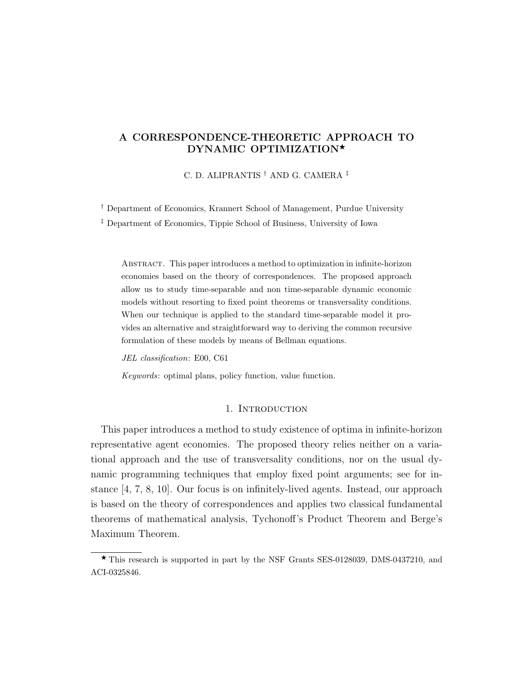#### A CORRESPONDENCE-THEORETIC APPROACH TO DYNAMIC OPTIMIZATION\*

C. D. ALIPRANTIS † AND G. CAMERA ‡

† Department of Economics, Krannert School of Management, Purdue University

‡ Department of Economics, Tippie School of Business, University of Iowa

Abstract. This paper introduces a method to optimization in infinite-horizon economies based on the theory of correspondences. The proposed approach allow us to study time-separable and non time-separable dynamic economic models without resorting to fixed point theorems or transversality conditions. When our technique is applied to the standard time-separable model it provides an alternative and straightforward way to deriving the common recursive formulation of these models by means of Bellman equations.

JEL classification: E00, C61

Keywords: optimal plans, policy function, value function.

#### 1. INTRODUCTION

This paper introduces a method to study existence of optima in infinite-horizon representative agent economies. The proposed theory relies neither on a variational approach and the use of transversality conditions, nor on the usual dynamic programming techniques that employ fixed point arguments; see for instance [4, 7, 8, 10]. Our focus is on infinitely-lived agents. Instead, our approach is based on the theory of correspondences and applies two classical fundamental theorems of mathematical analysis, Tychonoff's Product Theorem and Berge's Maximum Theorem.

 $\star$  This research is supported in part by the NSF Grants SES-0128039, DMS-0437210, and ACI-0325846.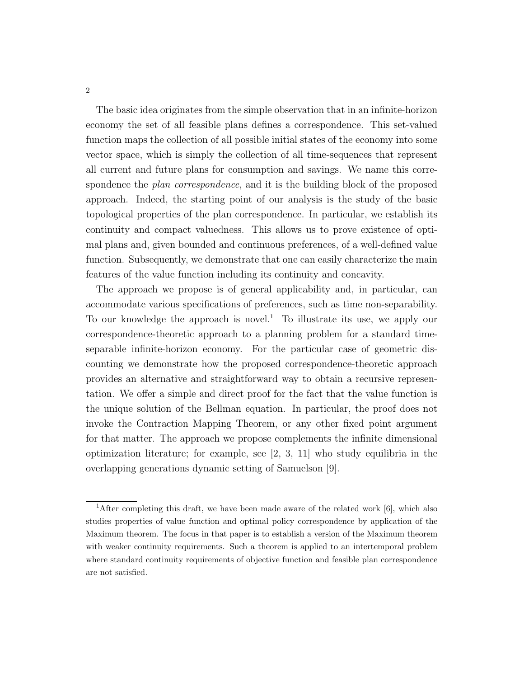The basic idea originates from the simple observation that in an infinite-horizon economy the set of all feasible plans defines a correspondence. This set-valued function maps the collection of all possible initial states of the economy into some vector space, which is simply the collection of all time-sequences that represent all current and future plans for consumption and savings. We name this correspondence the *plan correspondence*, and it is the building block of the proposed approach. Indeed, the starting point of our analysis is the study of the basic topological properties of the plan correspondence. In particular, we establish its continuity and compact valuedness. This allows us to prove existence of optimal plans and, given bounded and continuous preferences, of a well-defined value function. Subsequently, we demonstrate that one can easily characterize the main features of the value function including its continuity and concavity.

The approach we propose is of general applicability and, in particular, can accommodate various specifications of preferences, such as time non-separability. To our knowledge the approach is novel.<sup>1</sup> To illustrate its use, we apply our correspondence-theoretic approach to a planning problem for a standard timeseparable infinite-horizon economy. For the particular case of geometric discounting we demonstrate how the proposed correspondence-theoretic approach provides an alternative and straightforward way to obtain a recursive representation. We offer a simple and direct proof for the fact that the value function is the unique solution of the Bellman equation. In particular, the proof does not invoke the Contraction Mapping Theorem, or any other fixed point argument for that matter. The approach we propose complements the infinite dimensional optimization literature; for example, see [2, 3, 11] who study equilibria in the overlapping generations dynamic setting of Samuelson [9].

<sup>&</sup>lt;sup>1</sup>After completing this draft, we have been made aware of the related work  $[6]$ , which also studies properties of value function and optimal policy correspondence by application of the Maximum theorem. The focus in that paper is to establish a version of the Maximum theorem with weaker continuity requirements. Such a theorem is applied to an intertemporal problem where standard continuity requirements of objective function and feasible plan correspondence are not satisfied.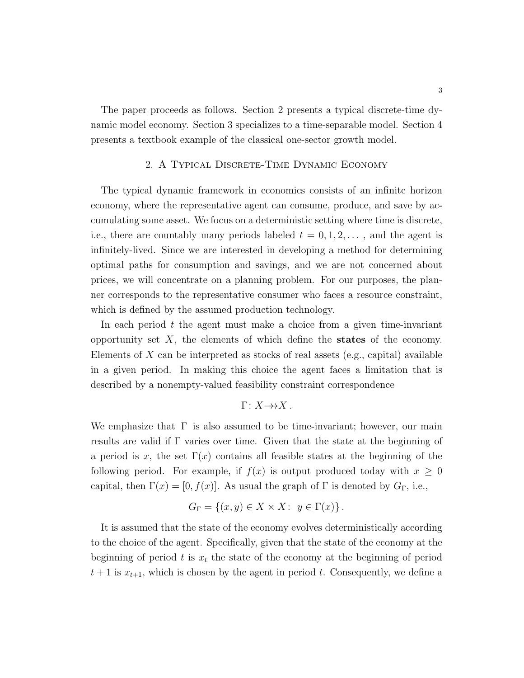The paper proceeds as follows. Section 2 presents a typical discrete-time dynamic model economy. Section 3 specializes to a time-separable model. Section 4 presents a textbook example of the classical one-sector growth model.

#### 2. A Typical Discrete-Time Dynamic Economy

The typical dynamic framework in economics consists of an infinite horizon economy, where the representative agent can consume, produce, and save by accumulating some asset. We focus on a deterministic setting where time is discrete, i.e., there are countably many periods labeled  $t = 0, 1, 2, \ldots$ , and the agent is infinitely-lived. Since we are interested in developing a method for determining optimal paths for consumption and savings, and we are not concerned about prices, we will concentrate on a planning problem. For our purposes, the planner corresponds to the representative consumer who faces a resource constraint, which is defined by the assumed production technology.

In each period  $t$  the agent must make a choice from a given time-invariant opportunity set  $X$ , the elements of which define the states of the economy. Elements of  $X$  can be interpreted as stocks of real assets (e.g., capital) available in a given period. In making this choice the agent faces a limitation that is described by a nonempty-valued feasibility constraint correspondence

$$
\Gamma\colon X{\rightarrow\!\!\!\rightarrow} X\,.
$$

We emphasize that  $\Gamma$  is also assumed to be time-invariant; however, our main results are valid if Γ varies over time. Given that the state at the beginning of a period is x, the set  $\Gamma(x)$  contains all feasible states at the beginning of the following period. For example, if  $f(x)$  is output produced today with  $x \geq 0$ capital, then  $\Gamma(x) = [0, f(x)]$ . As usual the graph of  $\Gamma$  is denoted by  $G_{\Gamma}$ , i.e.,

$$
G_{\Gamma} = \{(x, y) \in X \times X : y \in \Gamma(x)\}.
$$

It is assumed that the state of the economy evolves deterministically according to the choice of the agent. Specifically, given that the state of the economy at the beginning of period t is  $x_t$  the state of the economy at the beginning of period  $t+1$  is  $x_{t+1}$ , which is chosen by the agent in period t. Consequently, we define a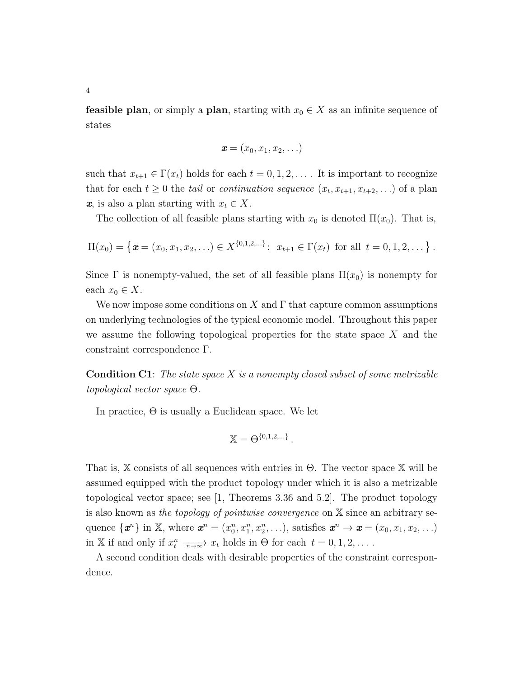**feasible plan**, or simply a **plan**, starting with  $x_0 \in X$  as an infinite sequence of states

$$
\boldsymbol{x}=(x_0,x_1,x_2,\ldots)
$$

such that  $x_{t+1} \in \Gamma(x_t)$  holds for each  $t = 0, 1, 2, \ldots$ . It is important to recognize that for each  $t \geq 0$  the *tail* or *continuation sequence*  $(x_t, x_{t+1}, x_{t+2}, ...)$  of a plan  $x$ , is also a plan starting with  $x_t \in X$ .

The collection of all feasible plans starting with  $x_0$  is denoted  $\Pi(x_0)$ . That is,

$$
\Pi(x_0) = \left\{ \boldsymbol{x} = (x_0, x_1, x_2, \ldots) \in X^{\{0, 1, 2, \ldots\}} : x_{t+1} \in \Gamma(x_t) \text{ for all } t = 0, 1, 2, \ldots \right\}.
$$

Since  $\Gamma$  is nonempty-valued, the set of all feasible plans  $\Pi(x_0)$  is nonempty for each  $x_0 \in X$ .

We now impose some conditions on X and  $\Gamma$  that capture common assumptions on underlying technologies of the typical economic model. Throughout this paper we assume the following topological properties for the state space  $X$  and the constraint correspondence Γ.

**Condition C1:** The state space  $X$  is a nonempty closed subset of some metrizable topological vector space Θ.

In practice,  $\Theta$  is usually a Euclidean space. We let

$$
\mathbb{X}=\Theta^{\{0,1,2,\ldots\}}.
$$

That is,  $X$  consists of all sequences with entries in  $\Theta$ . The vector space X will be assumed equipped with the product topology under which it is also a metrizable topological vector space; see [1, Theorems 3.36 and 5.2]. The product topology is also known as the topology of pointwise convergence on X since an arbitrary sequence  $\{\boldsymbol{x}^n\}$  in X, where  $\boldsymbol{x}^n = (x_0^n, x_1^n, x_2^n, \ldots)$ , satisfies  $\boldsymbol{x}^n \to \boldsymbol{x} = (x_0, x_1, x_2, \ldots)$ in X if and only if  $x_t^n \xrightarrow[n \to \infty]{n \to \infty} x_t$  holds in  $\Theta$  for each  $t = 0, 1, 2, \ldots$ .

A second condition deals with desirable properties of the constraint correspondence.

4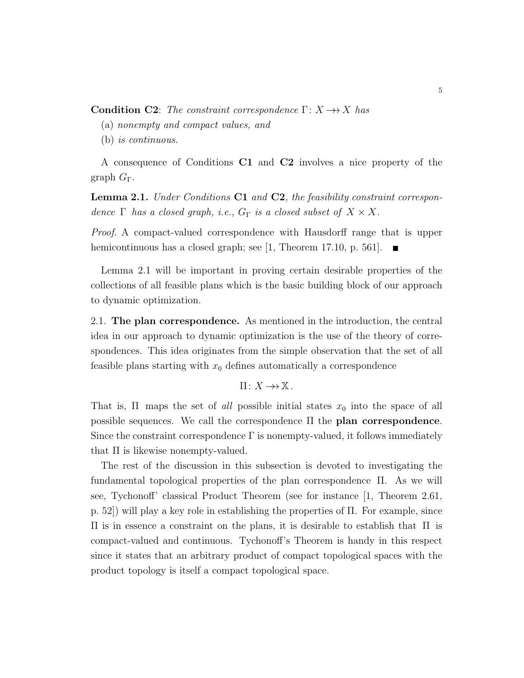**Condition C2:** The constraint correspondence  $\Gamma: X \rightarrow X$  has

(a) nonempty and compact values, and

(b) is continuous.

A consequence of Conditions C1 and C2 involves a nice property of the graph  $G_{\Gamma}$ .

Lemma 2.1. Under Conditions C1 and C2, the feasibility constraint correspondence  $\Gamma$  has a closed graph, i.e.,  $G_{\Gamma}$  is a closed subset of  $X \times X$ .

Proof. A compact-valued correspondence with Hausdorff range that is upper hemicontinuous has a closed graph; see [1, Theorem 17.10, p. 561].  $\blacksquare$ 

Lemma 2.1 will be important in proving certain desirable properties of the collections of all feasible plans which is the basic building block of our approach to dynamic optimization.

2.1. The plan correspondence. As mentioned in the introduction, the central idea in our approach to dynamic optimization is the use of the theory of correspondences. This idea originates from the simple observation that the set of all feasible plans starting with  $x_0$  defines automatically a correspondence

 $\Pi: X \rightarrow \mathbb{X}$ .

That is,  $\Pi$  maps the set of all possible initial states  $x_0$  into the space of all possible sequences. We call the correspondence Π the plan correspondence. Since the constraint correspondence  $\Gamma$  is nonempty-valued, it follows immediately that  $\Pi$  is likewise nonempty-valued.

The rest of the discussion in this subsection is devoted to investigating the fundamental topological properties of the plan correspondence Π. As we will see, Tychonoff' classical Product Theorem (see for instance [1, Theorem 2.61, p. 52) will play a key role in establishing the properties of  $\Pi$ . For example, since Π is in essence a constraint on the plans, it is desirable to establish that Π is compact-valued and continuous. Tychonoff's Theorem is handy in this respect since it states that an arbitrary product of compact topological spaces with the product topology is itself a compact topological space.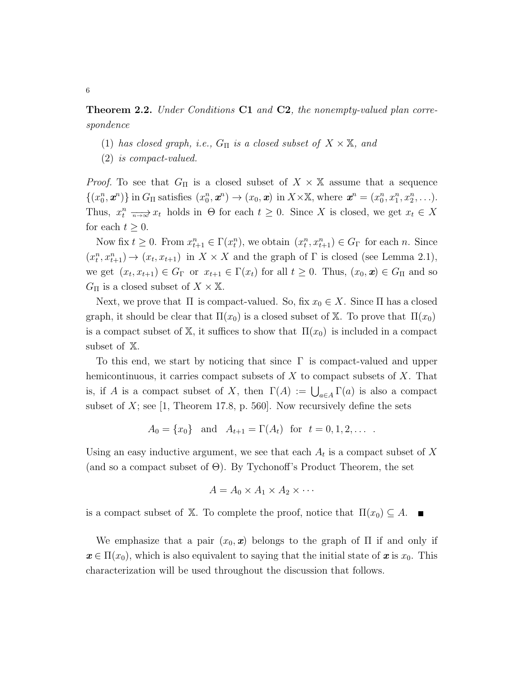**Theorem 2.2.** Under Conditions **C1** and **C2**, the nonempty-valued plan correspondence

- (1) has closed graph, i.e.,  $G_{\Pi}$  is a closed subset of  $X \times \mathbb{X}$ , and
- (2) is compact-valued.

*Proof.* To see that  $G_{\Pi}$  is a closed subset of  $X \times X$  assume that a sequence  $\{(x_0^n, \mathbf{x}^n)\}\$ in  $G_{\Pi}$  satisfies  $(x_0^n, \mathbf{x}^n) \to (x_0, \mathbf{x})$  in  $X \times \mathbb{X}$ , where  $\mathbf{x}^n = (x_0^n, x_1^n, x_2^n, \ldots)$ . Thus,  $x_t^n \longrightarrow x_t$  holds in  $\Theta$  for each  $t \geq 0$ . Since X is closed, we get  $x_t \in X$ for each  $t \geq 0$ .

Now fix  $t \geq 0$ . From  $x_{t+1}^n \in \Gamma(x_t^n)$ , we obtain  $(x_t^n, x_{t+1}^n) \in G_\Gamma$  for each n. Since  $(x_t^n, x_{t+1}^n) \to (x_t, x_{t+1})$  in  $X \times X$  and the graph of  $\Gamma$  is closed (see Lemma 2.1), we get  $(x_t, x_{t+1}) \in G_\Gamma$  or  $x_{t+1} \in \Gamma(x_t)$  for all  $t \geq 0$ . Thus,  $(x_0, \mathbf{x}) \in G_\Pi$  and so  $G_{\Pi}$  is a closed subset of  $X \times \mathbb{X}$ .

Next, we prove that  $\Pi$  is compact-valued. So, fix  $x_0 \in X$ . Since  $\Pi$  has a closed graph, it should be clear that  $\Pi(x_0)$  is a closed subset of X. To prove that  $\Pi(x_0)$ is a compact subset of X, it suffices to show that  $\Pi(x_0)$  is included in a compact subset of X.

To this end, we start by noticing that since  $\Gamma$  is compact-valued and upper hemicontinuous, it carries compact subsets of  $X$  to compact subsets of  $X$ . That is, if A is a compact subset of X, then  $\Gamma(A) := \bigcup_{a \in A} \Gamma(a)$  is also a compact subset of  $X$ ; see [1, Theorem 17.8, p. 560]. Now recursively define the sets

$$
A_0 = \{x_0\}
$$
 and  $A_{t+1} = \Gamma(A_t)$  for  $t = 0, 1, 2, ...$ 

Using an easy inductive argument, we see that each  $A_t$  is a compact subset of X (and so a compact subset of  $\Theta$ ). By Tychonoff's Product Theorem, the set

$$
A = A_0 \times A_1 \times A_2 \times \cdots
$$

is a compact subset of X. To complete the proof, notice that  $\Pi(x_0) \subseteq A$ .  $\blacksquare$ 

We emphasize that a pair  $(x_0, x)$  belongs to the graph of  $\Pi$  if and only if  $x \in \Pi(x_0)$ , which is also equivalent to saying that the initial state of x is  $x_0$ . This characterization will be used throughout the discussion that follows.

6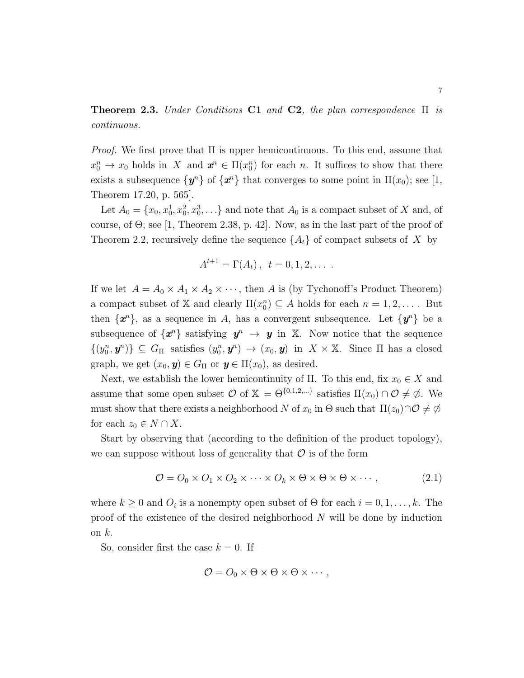**Theorem 2.3.** Under Conditions C1 and C2, the plan correspondence  $\Pi$  is continuous.

*Proof.* We first prove that  $\Pi$  is upper hemicontinuous. To this end, assume that  $x_0^n \to x_0$  holds in X and  $\mathbf{x}^n \in \Pi(x_0^n)$  for each n. It suffices to show that there exists a subsequence  $\{\mathbf{y}^n\}$  of  $\{\mathbf{x}^n\}$  that converges to some point in  $\Pi(x_0)$ ; see [1, Theorem 17.20, p. 565].

Let  $A_0 = \{x_0, x_0^1, x_0^2, x_0^3, \ldots\}$  and note that  $A_0$  is a compact subset of X and, of course, of  $\Theta$ ; see [1, Theorem 2.38, p. 42]. Now, as in the last part of the proof of Theorem 2.2, recursively define the sequence  ${A_t}$  of compact subsets of X by

$$
A^{t+1} = \Gamma(A_t), \ \ t = 0, 1, 2, \ldots
$$

If we let  $A = A_0 \times A_1 \times A_2 \times \cdots$ , then A is (by Tychonoff's Product Theorem) a compact subset of X and clearly  $\Pi(x_0^n) \subseteq A$  holds for each  $n = 1, 2, \ldots$ . But then  $\{\boldsymbol{x}^n\}$ , as a sequence in A, has a convergent subsequence. Let  $\{\boldsymbol{y}^n\}$  be a subsequence of  $\{x^n\}$  satisfying  $y^n \to y$  in X. Now notice that the sequence  $\{(y_0^n, y^n)\}\subseteq G_\Pi$  satisfies  $(y_0^n, y^n) \to (x_0, y)$  in  $X \times X$ . Since  $\Pi$  has a closed graph, we get  $(x_0, y) \in G_\Pi$  or  $y \in \Pi(x_0)$ , as desired.

Next, we establish the lower hemicontinuity of  $\Pi$ . To this end, fix  $x_0 \in X$  and assume that some open subset  $\mathcal O$  of  $\mathbb X = \Theta^{\{0,1,2,\ldots\}}$  satisfies  $\Pi(x_0) \cap \mathcal O \neq \emptyset$ . We must show that there exists a neighborhood N of  $x_0$  in Θ such that  $\Pi(z_0) \cap \mathcal{O} \neq \emptyset$ for each  $z_0 \in N \cap X$ .

Start by observing that (according to the definition of the product topology), we can suppose without loss of generality that  $\mathcal O$  is of the form

$$
\mathcal{O} = O_0 \times O_1 \times O_2 \times \dots \times O_k \times \Theta \times \Theta \times \Theta \times \dots, \tag{2.1}
$$

where  $k \geq 0$  and  $O_i$  is a nonempty open subset of  $\Theta$  for each  $i = 0, 1, ..., k$ . The proof of the existence of the desired neighborhood N will be done by induction on  $k$ .

So, consider first the case  $k = 0$ . If

$$
\mathcal{O}=O_0\times\Theta\times\Theta\times\Theta\times\cdots,
$$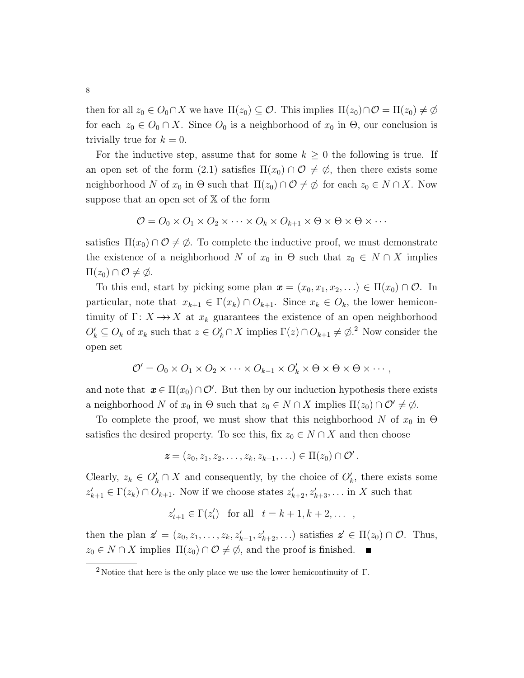then for all  $z_0 \in O_0 \cap X$  we have  $\Pi(z_0) \subseteq O$ . This implies  $\Pi(z_0) \cap O = \Pi(z_0) \neq \emptyset$ for each  $z_0 \in O_0 \cap X$ . Since  $O_0$  is a neighborhood of  $x_0$  in  $\Theta$ , our conclusion is trivially true for  $k = 0$ .

For the inductive step, assume that for some  $k \geq 0$  the following is true. If an open set of the form (2.1) satisfies  $\Pi(x_0) \cap \mathcal{O} \neq \emptyset$ , then there exists some neighborhood N of  $x_0$  in  $\Theta$  such that  $\Pi(z_0) \cap \mathcal{O} \neq \emptyset$  for each  $z_0 \in N \cap X$ . Now suppose that an open set of  $X$  of the form

$$
\mathcal{O} = O_0 \times O_1 \times O_2 \times \cdots \times O_k \times O_{k+1} \times \Theta \times \Theta \times \Theta \times \cdots
$$

satisfies  $\Pi(x_0) \cap \mathcal{O} \neq \emptyset$ . To complete the inductive proof, we must demonstrate the existence of a neighborhood N of  $x_0$  in  $\Theta$  such that  $z_0 \in N \cap X$  implies  $\Pi(z_0) \cap \mathcal{O} \neq \emptyset$ .

To this end, start by picking some plan  $\mathbf{x} = (x_0, x_1, x_2, ...) \in \Pi(x_0) \cap \mathcal{O}$ . In particular, note that  $x_{k+1} \in \Gamma(x_k) \cap O_{k+1}$ . Since  $x_k \in O_k$ , the lower hemicontinuity of  $\Gamma: X \longrightarrow X$  at  $x_k$  guarantees the existence of an open neighborhood  $O'_k \subseteq O_k$  of  $x_k$  such that  $z \in O'_k \cap X$  implies  $\Gamma(z) \cap O_{k+1} \neq \emptyset$ <sup>2</sup>. Now consider the open set

$$
\mathcal{O}' = O_0 \times O_1 \times O_2 \times \cdots \times O_{k-1} \times O'_k \times \Theta \times \Theta \times \Theta \times \cdots,
$$

and note that  $x \in \Pi(x_0) \cap \mathcal{O}'$ . But then by our induction hypothesis there exists a neighborhood N of  $x_0$  in  $\Theta$  such that  $z_0 \in N \cap X$  implies  $\Pi(z_0) \cap \mathcal{O}' \neq \emptyset$ .

To complete the proof, we must show that this neighborhood N of  $x_0$  in  $\Theta$ satisfies the desired property. To see this, fix  $z_0 \in N \cap X$  and then choose

$$
\boldsymbol{z} = (z_0, z_1, z_2, \ldots, z_k, z_{k+1}, \ldots) \in \Pi(z_0) \cap \mathcal{O}'.
$$

Clearly,  $z_k \in O'_k \cap X$  and consequently, by the choice of  $O'_k$ , there exists some  $z'_{k+1} \in \Gamma(z_k) \cap O_{k+1}$ . Now if we choose states  $z'_{k+2}, z'_{k+3}, \ldots$  in X such that

$$
z'_{t+1} \in \Gamma(z'_t) \quad \text{for all} \quad t = k+1, k+2, \dots \quad ,
$$

then the plan  $\mathbf{z}' = (z_0, z_1, \ldots, z_k, z'_{k+1}, z'_{k+2}, \ldots)$  satisfies  $\mathbf{z}' \in \Pi(z_0) \cap \mathcal{O}$ . Thus,  $z_0 \in N \cap X$  implies  $\Pi(z_0) \cap \mathcal{O} \neq \emptyset$ , and the proof is finished.

<sup>&</sup>lt;sup>2</sup> Notice that here is the only place we use the lower hemicontinuity of  $\Gamma$ .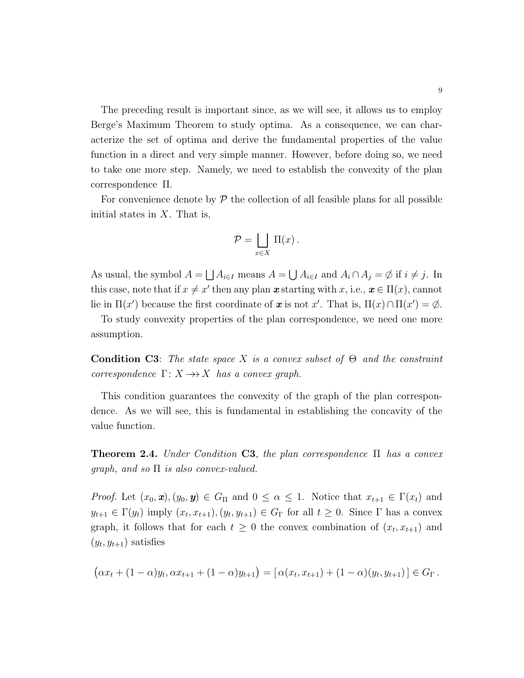The preceding result is important since, as we will see, it allows us to employ Berge's Maximum Theorem to study optima. As a consequence, we can characterize the set of optima and derive the fundamental properties of the value function in a direct and very simple manner. However, before doing so, we need to take one more step. Namely, we need to establish the convexity of the plan correspondence Π.

For convenience denote by  $\mathcal P$  the collection of all feasible plans for all possible initial states in  $X$ . That is,

$$
\mathcal{P} = \bigsqcup_{x \in X} \Pi(x) \, .
$$

As usual, the symbol  $A = \bigsqcup A_{i \in I}$  means  $A = \bigcup A_{i \in I}$  and  $A_i \cap A_j = \emptyset$  if  $i \neq j$ . In this case, note that if  $x \neq x'$  then any plan  $\boldsymbol{x}$  starting with  $x$ , i.e.,  $\boldsymbol{x} \in \Pi(x)$ , cannot lie in  $\Pi(x')$  because the first coordinate of x is not x'. That is,  $\Pi(x) \cap \Pi(x') = \emptyset$ .

To study convexity properties of the plan correspondence, we need one more assumption.

**Condition C3:** The state space X is a convex subset of  $\Theta$  and the constraint correspondence  $\Gamma: X \rightarrow X$  has a convex graph.

This condition guarantees the convexity of the graph of the plan correspondence. As we will see, this is fundamental in establishing the concavity of the value function.

**Theorem 2.4.** Under Condition C3, the plan correspondence  $\Pi$  has a convex qraph, and so  $\Pi$  is also convex-valued.

*Proof.* Let  $(x_0, \mathbf{x})$ ,  $(y_0, \mathbf{y}) \in G_\Pi$  and  $0 \leq \alpha \leq 1$ . Notice that  $x_{t+1} \in \Gamma(x_t)$  and  $y_{t+1} \in \Gamma(y_t)$  imply  $(x_t, x_{t+1}), (y_t, y_{t+1}) \in G_\Gamma$  for all  $t \geq 0$ . Since  $\Gamma$  has a convex graph, it follows that for each  $t \geq 0$  the convex combination of  $(x_t, x_{t+1})$  and  $(y_t, y_{t+1})$  satisfies

$$
(\alpha x_t + (1 - \alpha)y_t, \alpha x_{t+1} + (1 - \alpha)y_{t+1}) = [\alpha(x_t, x_{t+1}) + (1 - \alpha)(y_t, y_{t+1})] \in G_{\Gamma}.
$$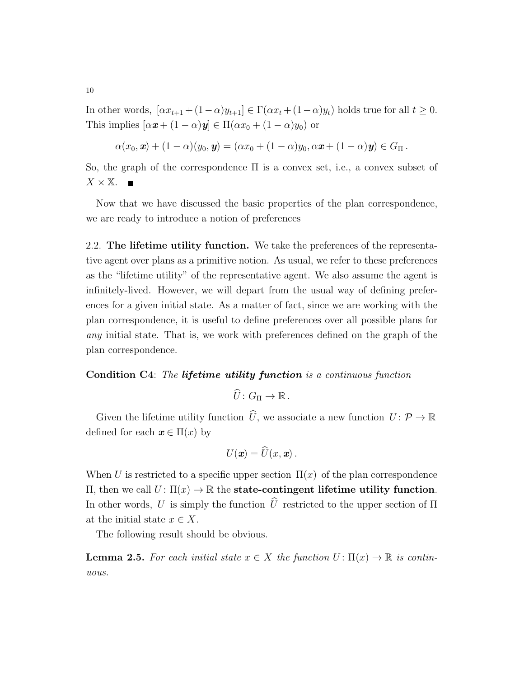In other words,  $[\alpha x_{t+1} + (1-\alpha)y_{t+1}] \in \Gamma(\alpha x_t + (1-\alpha)y_t)$  holds true for all  $t \geq 0$ . This implies  $[\alpha x + (1 - \alpha)y] \in \Pi(\alpha x_0 + (1 - \alpha)y_0)$  or

$$
\alpha(x_0,\mathbf{x}) + (1-\alpha)(y_0,\mathbf{y}) = (\alpha x_0 + (1-\alpha)y_0, \alpha \mathbf{x} + (1-\alpha)\mathbf{y}) \in G_{\Pi}.
$$

So, the graph of the correspondence  $\Pi$  is a convex set, i.e., a convex subset of  $X \times \mathbb{X}$ . Ē

Now that we have discussed the basic properties of the plan correspondence, we are ready to introduce a notion of preferences

2.2. The lifetime utility function. We take the preferences of the representative agent over plans as a primitive notion. As usual, we refer to these preferences as the "lifetime utility" of the representative agent. We also assume the agent is infinitely-lived. However, we will depart from the usual way of defining preferences for a given initial state. As a matter of fact, since we are working with the plan correspondence, it is useful to define preferences over all possible plans for any initial state. That is, we work with preferences defined on the graph of the plan correspondence.

#### Condition C4: The lifetime utility function is a continuous function

$$
\widehat{U}\colon G_{\Pi}\to\mathbb{R}\,.
$$

Given the lifetime utility function  $\widehat{U}$ , we associate a new function  $U: \mathcal{P} \to \mathbb{R}$ defined for each  $x \in \Pi(x)$  by

$$
U(\boldsymbol{x}) = \widehat{U}(x, \boldsymbol{x})\,.
$$

When U is restricted to a specific upper section  $\Pi(x)$  of the plan correspondence  $\Pi$ , then we call  $U$ :  $\Pi(x)$  → ℝ the state-contingent lifetime utility function. In other words, U is simply the function  $\hat{U}$  restricted to the upper section of  $\Pi$ at the initial state  $x \in X$ .

The following result should be obvious.

**Lemma 2.5.** For each initial state  $x \in X$  the function  $U: \Pi(x) \to \mathbb{R}$  is continuous.

10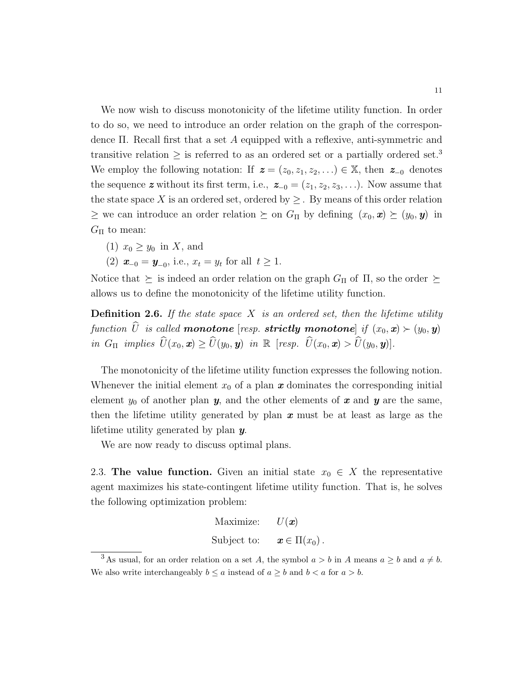We now wish to discuss monotonicity of the lifetime utility function. In order to do so, we need to introduce an order relation on the graph of the correspondence Π. Recall first that a set A equipped with a reflexive, anti-symmetric and transitive relation  $\geq$  is referred to as an ordered set or a partially ordered set.<sup>3</sup> We employ the following notation: If  $z = (z_0, z_1, z_2, ...) \in \mathbb{X}$ , then  $z_{-0}$  denotes the sequence z without its first term, i.e.,  $z_{-0} = (z_1, z_2, z_3, \ldots)$ . Now assume that the state space X is an ordered set, ordered by  $\geq$ . By means of this order relation  $\geq$  we can introduce an order relation  $\succeq$  on  $G_{\Pi}$  by defining  $(x_0, x) \succeq (y_0, y)$  in  $G_{\Pi}$  to mean:

- (1)  $x_0 \geq y_0$  in X, and
- (2)  $\mathbf{x}_{-0} = \mathbf{y}_{-0}$ , i.e.,  $x_t = y_t$  for all  $t \ge 1$ .

Notice that  $\succeq$  is indeed an order relation on the graph  $G_{\Pi}$  of  $\Pi$ , so the order  $\succeq$ allows us to define the monotonicity of the lifetime utility function.

**Definition 2.6.** If the state space X is an ordered set, then the lifetime utility function  $\widehat{U}$  is called **monotone** [resp. **strictly monotone**] if  $(x_0, x) \succ (y_0, y)$ in  $G_{\Pi}$  implies  $\widehat{U}(x_0, x) \ge \widehat{U}(y_0, y)$  in  $\mathbb R$  [resp.  $\widehat{U}(x_0, x) > \widehat{U}(y_0, y)$ ].

The monotonicity of the lifetime utility function expresses the following notion. Whenever the initial element  $x_0$  of a plan  $\boldsymbol{x}$  dominates the corresponding initial element  $y_0$  of another plan  $y$ , and the other elements of x and y are the same, then the lifetime utility generated by plan  $x$  must be at least as large as the lifetime utility generated by plan y.

We are now ready to discuss optimal plans.

2.3. The value function. Given an initial state  $x_0 \in X$  the representative agent maximizes his state-contingent lifetime utility function. That is, he solves the following optimization problem:

Maximize: 
$$
U(\mathbf{x})
$$
  
Subject to:  $\mathbf{x} \in \Pi(x_0)$ .

<sup>&</sup>lt;sup>3</sup>As usual, for an order relation on a set A, the symbol  $a > b$  in A means  $a \geq b$  and  $a \neq b$ . We also write interchangeably  $b \le a$  instead of  $a \ge b$  and  $b < a$  for  $a > b$ .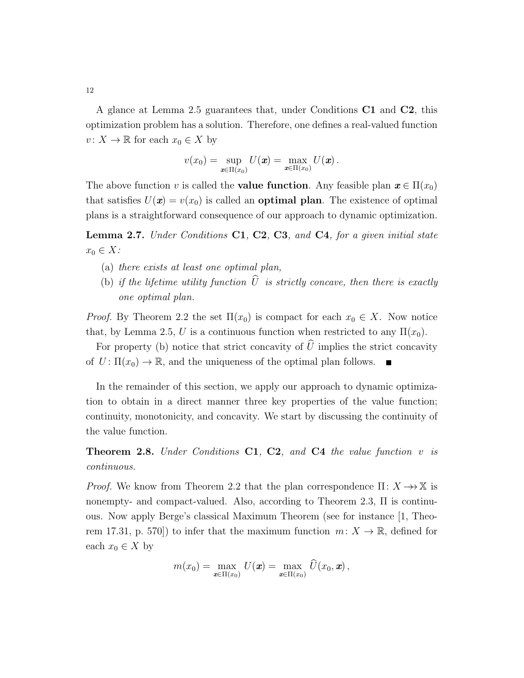A glance at Lemma 2.5 guarantees that, under Conditions C1 and C2, this optimization problem has a solution. Therefore, one defines a real-valued function  $v: X \to \mathbb{R}$  for each  $x_0 \in X$  by

$$
v(x_0)=\sup_{\boldsymbol{x}\in\Pi(x_0)}U(\boldsymbol{x})=\max_{\boldsymbol{x}\in\Pi(x_0)}U(\boldsymbol{x})\,.
$$

The above function v is called the **value function**. Any feasible plan  $\mathbf{x} \in \Pi(x_0)$ that satisfies  $U(\mathbf{x}) = v(x_0)$  is called an **optimal plan**. The existence of optimal plans is a straightforward consequence of our approach to dynamic optimization.

**Lemma 2.7.** Under Conditions  $C1$ ,  $C2$ ,  $C3$ , and  $C4$ , for a given initial state  $x_0 \in X$ :

- (a) there exists at least one optimal plan,
- (b) if the lifetime utility function  $\hat{U}$  is strictly concave, then there is exactly one optimal plan.

*Proof.* By Theorem 2.2 the set  $\Pi(x_0)$  is compact for each  $x_0 \in X$ . Now notice that, by Lemma 2.5, U is a continuous function when restricted to any  $\Pi(x_0)$ .

For property (b) notice that strict concavity of  $\hat{U}$  implies the strict concavity of  $U: \Pi(x_0) \to \mathbb{R}$ , and the uniqueness of the optimal plan follows.

In the remainder of this section, we apply our approach to dynamic optimization to obtain in a direct manner three key properties of the value function; continuity, monotonicity, and concavity. We start by discussing the continuity of the value function.

Theorem 2.8. Under Conditions C1, C2, and C4 the value function v is continuous.

*Proof.* We know from Theorem 2.2 that the plan correspondence  $\Pi: X \to X$  is nonempty- and compact-valued. Also, according to Theorem 2.3, Π is continuous. Now apply Berge's classical Maximum Theorem (see for instance [1, Theorem 17.31, p. 570]) to infer that the maximum function  $m: X \to \mathbb{R}$ , defined for each  $x_0 \in X$  by

$$
m(x_0) = \max_{\boldsymbol{x} \in \Pi(x_0)} U(\boldsymbol{x}) = \max_{\boldsymbol{x} \in \Pi(x_0)} \widehat{U}(x_0, \boldsymbol{x}),
$$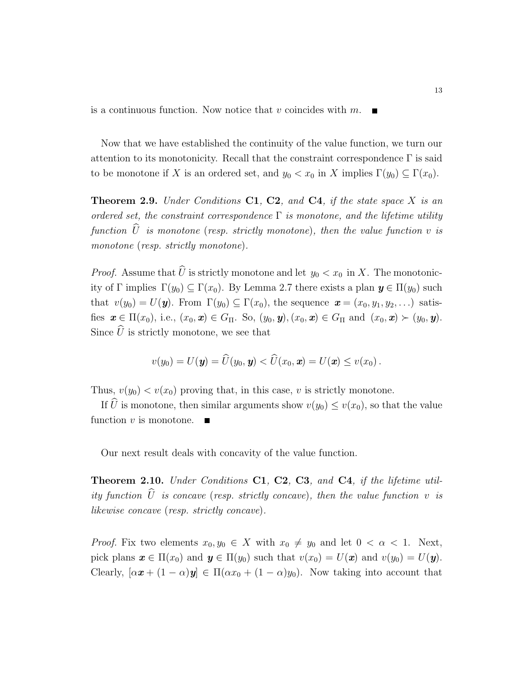is a continuous function. Now notice that v coincides with  $m$ .

Now that we have established the continuity of the value function, we turn our attention to its monotonicity. Recall that the constraint correspondence  $\Gamma$  is said to be monotone if X is an ordered set, and  $y_0 < x_0$  in X implies  $\Gamma(y_0) \subseteq \Gamma(x_0)$ .

**Theorem 2.9.** Under Conditions  $C1$ ,  $C2$ , and  $C4$ , if the state space X is an ordered set, the constraint correspondence  $\Gamma$  is monotone, and the lifetime utility function  $\widehat{U}$  is monotone (resp. strictly monotone), then the value function v is monotone (resp. strictly monotone).

*Proof.* Assume that  $\widehat{U}$  is strictly monotone and let  $y_0 < x_0$  in X. The monotonicity of Γ implies  $\Gamma(y_0) \subseteq \Gamma(x_0)$ . By Lemma 2.7 there exists a plan  $y \in \Pi(y_0)$  such that  $v(y_0) = U(\mathbf{y})$ . From  $\Gamma(y_0) \subseteq \Gamma(x_0)$ , the sequence  $\mathbf{x} = (x_0, y_1, y_2, \ldots)$  satisfies  $\mathbf{x} \in \Pi(x_0)$ , i.e.,  $(x_0, \mathbf{x}) \in G_\Pi$ . So,  $(y_0, \mathbf{y})$ ,  $(x_0, \mathbf{x}) \in G_\Pi$  and  $(x_0, \mathbf{x}) \succ (y_0, \mathbf{y})$ . Since  $\widehat{U}$  is strictly monotone, we see that

$$
v(y_0) = U(\mathbf{y}) = U(y_0, \mathbf{y}) < U(x_0, \mathbf{x}) = U(\mathbf{x}) \leq v(x_0).
$$

Thus,  $v(y_0) < v(x_0)$  proving that, in this case, v is strictly monotone.

If  $\widehat{U}$  is monotone, then similar arguments show  $v(y_0) \leq v(x_0)$ , so that the value function  $v$  is monotone.

Our next result deals with concavity of the value function.

Theorem 2.10. Under Conditions C1, C2, C3, and C4, if the lifetime utility function  $\widehat{U}$  is concave (resp. strictly concave), then the value function v is likewise concave (resp. strictly concave).

*Proof.* Fix two elements  $x_0, y_0 \in X$  with  $x_0 \neq y_0$  and let  $0 < \alpha < 1$ . Next, pick plans  $\mathbf{x} \in \Pi(x_0)$  and  $\mathbf{y} \in \Pi(y_0)$  such that  $v(x_0) = U(\mathbf{x})$  and  $v(y_0) = U(\mathbf{y})$ . Clearly,  $[\alpha x + (1 - \alpha)y] \in \Pi(\alpha x_0 + (1 - \alpha)y_0)$ . Now taking into account that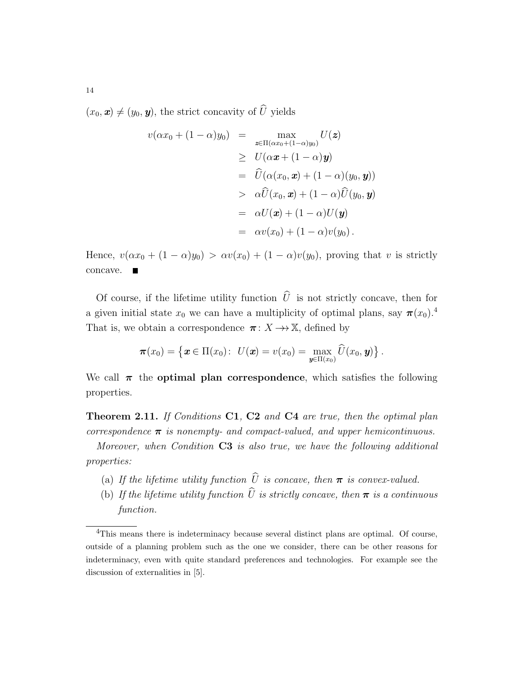$(x_0, \mathbf{x}) \neq (y_0, \mathbf{y})$ , the strict concavity of  $\widehat{U}$  yields

$$
v(\alpha x_0 + (1 - \alpha)y_0) = \max_{\mathbf{z} \in \Pi(\alpha x_0 + (1 - \alpha)y_0)} U(\mathbf{z})
$$
  
\n
$$
\geq U(\alpha \mathbf{x} + (1 - \alpha)\mathbf{y})
$$
  
\n
$$
= \widehat{U}(\alpha(x_0, \mathbf{x}) + (1 - \alpha)(y_0, \mathbf{y}))
$$
  
\n
$$
> \alpha \widehat{U}(x_0, \mathbf{x}) + (1 - \alpha)\widehat{U}(y_0, \mathbf{y})
$$
  
\n
$$
= \alpha U(\mathbf{x}) + (1 - \alpha)U(\mathbf{y})
$$
  
\n
$$
= \alpha v(x_0) + (1 - \alpha)v(y_0).
$$

Hence,  $v(\alpha x_0 + (1 - \alpha)y_0) > \alpha v(x_0) + (1 - \alpha)v(y_0)$ , proving that v is strictly concave.

Of course, if the lifetime utility function  $\hat{U}$  is not strictly concave, then for a given initial state  $x_0$  we can have a multiplicity of optimal plans, say  $\pi(x_0)$ .<sup>4</sup> That is, we obtain a correspondence  $\pi: X \longrightarrow X$ , defined by

$$
\boldsymbol{\pi}(x_0)=\left\{\boldsymbol{x}\in\Pi(x_0)\colon\ U(\boldsymbol{x})=v(x_0)=\max_{\boldsymbol{y}\in\Pi(x_0)}\widehat{U}(x_0,\boldsymbol{y})\right\}.
$$

We call  $\pi$  the **optimal plan correspondence**, which satisfies the following properties.

**Theorem 2.11.** If Conditions C1, C2 and C4 are true, then the optimal plan correspondence  $\pi$  is nonempty- and compact-valued, and upper hemicontinuous.

Moreover, when Condition C3 is also true, we have the following additional properties:

- (a) If the lifetime utility function  $\widehat{U}$  is concave, then  $\pi$  is convex-valued.
- (b) If the lifetime utility function  $\hat{U}$  is strictly concave, then  $\pi$  is a continuous function.

14

<sup>&</sup>lt;sup>4</sup>This means there is indeterminacy because several distinct plans are optimal. Of course, outside of a planning problem such as the one we consider, there can be other reasons for indeterminacy, even with quite standard preferences and technologies. For example see the discussion of externalities in [5].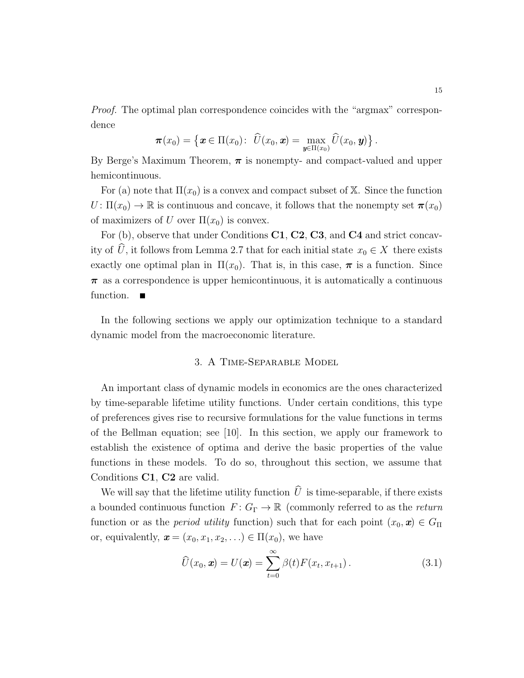Proof. The optimal plan correspondence coincides with the "argmax" correspondence

$$
\boldsymbol{\pi}(x_0)=\big\{\boldsymbol{x}\in\Pi(x_0)\colon\; \widehat{U}(x_0,\boldsymbol{x})=\max_{\boldsymbol{y}\in\Pi(x_0)}\widehat{U}(x_0,\boldsymbol{y})\big\}\,.
$$

By Berge's Maximum Theorem,  $\pi$  is nonempty- and compact-valued and upper hemicontinuous.

For (a) note that  $\Pi(x_0)$  is a convex and compact subset of X. Since the function  $U: \Pi(x_0) \to \mathbb{R}$  is continuous and concave, it follows that the nonempty set  $\pi(x_0)$ of maximizers of U over  $\Pi(x_0)$  is convex.

For (b), observe that under Conditions C1, C2, C3, and C4 and strict concavity of  $\widehat{U}$ , it follows from Lemma 2.7 that for each initial state  $x_0 \in X$  there exists exactly one optimal plan in  $\Pi(x_0)$ . That is, in this case,  $\pi$  is a function. Since  $\pi$  as a correspondence is upper hemicontinuous, it is automatically a continuous function.

In the following sections we apply our optimization technique to a standard dynamic model from the macroeconomic literature.

#### 3. A Time-Separable Model

An important class of dynamic models in economics are the ones characterized by time-separable lifetime utility functions. Under certain conditions, this type of preferences gives rise to recursive formulations for the value functions in terms of the Bellman equation; see [10]. In this section, we apply our framework to establish the existence of optima and derive the basic properties of the value functions in these models. To do so, throughout this section, we assume that Conditions C1, C2 are valid.

We will say that the lifetime utility function  $\widehat{U}$  is time-separable, if there exists a bounded continuous function  $F: G_{\Gamma} \to \mathbb{R}$  (commonly referred to as the return function or as the *period utility* function) such that for each point  $(x_0, \mathbf{x}) \in G_\Pi$ or, equivalently,  $\mathbf{x} = (x_0, x_1, x_2, \ldots) \in \Pi(x_0)$ , we have

$$
\widehat{U}(x_0, \mathbf{x}) = U(\mathbf{x}) = \sum_{t=0}^{\infty} \beta(t) F(x_t, x_{t+1}). \tag{3.1}
$$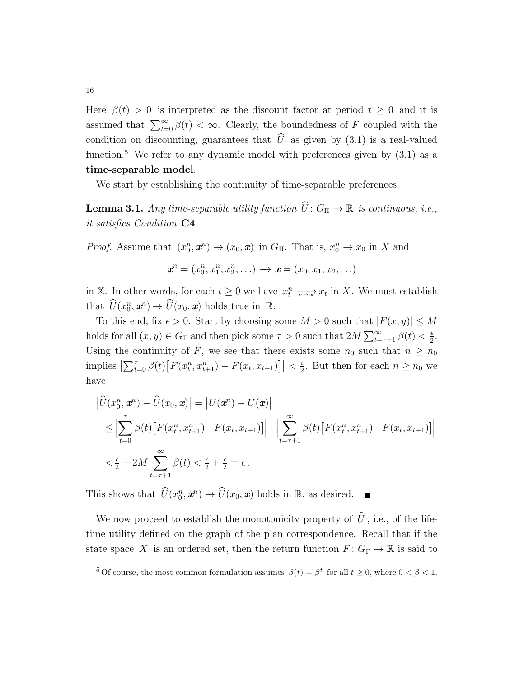Here  $\beta(t) > 0$  is interpreted as the discount factor at period  $t \geq 0$  and it is assumed that  $\sum_{t=0}^{\infty} \beta(t) < \infty$ . Clearly, the boundedness of F coupled with the condition on discounting, guarantees that  $\hat{U}$  as given by (3.1) is a real-valued function.<sup>5</sup> We refer to any dynamic model with preferences given by  $(3.1)$  as a time-separable model.

We start by establishing the continuity of time-separable preferences.

**Lemma 3.1.** Any time-separable utility function  $\widehat{U}$  :  $G_{\Pi} \to \mathbb{R}$  is continuous, i.e., it satisfies Condition C4.

*Proof.* Assume that  $(x_0^n, \mathbf{x}^n) \to (x_0, \mathbf{x})$  in  $G_\Pi$ . That is,  $x_0^n \to x_0$  in X and

$$
\bm{x}^n = (x_0^n, x_1^n, x_2^n, \ldots) \to \bm{x} = (x_0, x_1, x_2, \ldots)
$$

in X. In other words, for each  $t \geq 0$  we have  $x_t^n \longrightarrow x_t$  in X. We must establish that  $\widehat{U}(x_0^n, \mathbf{x}^n) \to \widehat{U}(x_0, \mathbf{x})$  holds true in  $\mathbb{R}$ .

To this end, fix  $\epsilon > 0$ . Start by choosing some  $M > 0$  such that  $|F(x, y)| \leq M$ holds for all  $(x, y) \in G_{\Gamma}$  and then pick some  $\tau > 0$  such that  $2M \sum_{t=\tau+1}^{\infty} \beta(t) < \frac{\epsilon}{2}$  $rac{\epsilon}{2}$ . Using the continuity of F, we see that there exists some  $n_0$  such that  $n \geq n_0$ implies  $\left| \sum_{t=0}^{\tau} \beta(t) \left[ F(x_t^n, x_{t+1}^n) - F(x_t, x_{t+1}) \right] \right| < \frac{\epsilon}{2}$  $\frac{\epsilon}{2}$ . But then for each  $n \geq n_0$  we have

$$
\left| \hat{U}(x_0^n, \mathbf{x}^n) - \hat{U}(x_0, \mathbf{x}) \right| = \left| U(\mathbf{x}^n) - U(\mathbf{x}) \right|
$$
\n
$$
\leq \left| \sum_{t=0}^{\tau} \beta(t) \left[ F(x_t^n, x_{t+1}^n) - F(x_t, x_{t+1}) \right] \right| + \left| \sum_{t=\tau+1}^{\infty} \beta(t) \left[ F(x_t^n, x_{t+1}^n) - F(x_t, x_{t+1}) \right] \right|
$$
\n
$$
< \frac{\epsilon}{2} + 2M \sum_{t=\tau+1}^{\infty} \beta(t) < \frac{\epsilon}{2} + \frac{\epsilon}{2} = \epsilon.
$$

This shows that  $\widehat{U}(x_0^n, \mathbf{x}^n) \to \widehat{U}(x_0, \mathbf{x})$  holds in  $\mathbb{R}$ , as desired.

We now proceed to establish the monotonicity property of  $\hat{U}$ , i.e., of the lifetime utility defined on the graph of the plan correspondence. Recall that if the state space X is an ordered set, then the return function  $F: G_{\Gamma} \to \mathbb{R}$  is said to

<sup>&</sup>lt;sup>5</sup> Of course, the most common formulation assumes  $\beta(t) = \beta^t$  for all  $t \geq 0$ , where  $0 < \beta < 1$ .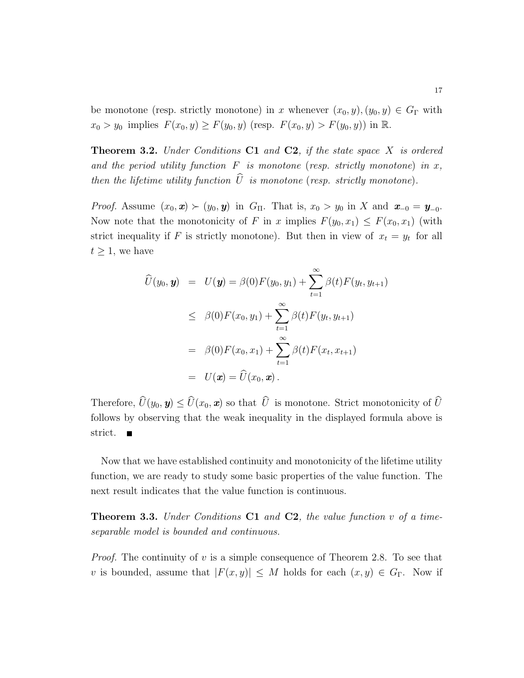be monotone (resp. strictly monotone) in x whenever  $(x_0, y), (y_0, y) \in G_\Gamma$  with  $x_0 > y_0$  implies  $F(x_0, y) \ge F(y_0, y)$  (resp.  $F(x_0, y) > F(y_0, y)$ ) in  $\mathbb{R}$ .

**Theorem 3.2.** Under Conditions  $C1$  and  $C2$ , if the state space X is ordered and the period utility function  $F$  is monotone (resp. strictly monotone) in x, then the lifetime utility function  $\hat{U}$  is monotone (resp. strictly monotone).

*Proof.* Assume  $(x_0, x) \succ (y_0, y)$  in  $G_{\Pi}$ . That is,  $x_0 > y_0$  in X and  $x_{-0} = y_{-0}$ . Now note that the monotonicity of F in x implies  $F(y_0, x_1) \leq F(x_0, x_1)$  (with strict inequality if F is strictly monotone). But then in view of  $x_t = y_t$  for all  $t \geq 1$ , we have

$$
\widehat{U}(y_0, y) = U(y) = \beta(0)F(y_0, y_1) + \sum_{t=1}^{\infty} \beta(t)F(y_t, y_{t+1})
$$
\n
$$
\leq \beta(0)F(x_0, y_1) + \sum_{t=1}^{\infty} \beta(t)F(y_t, y_{t+1})
$$
\n
$$
= \beta(0)F(x_0, x_1) + \sum_{t=1}^{\infty} \beta(t)F(x_t, x_{t+1})
$$
\n
$$
= U(x) = \widehat{U}(x_0, x).
$$

Therefore,  $\widehat{U}(y_0, y) \leq \widehat{U}(x_0, x)$  so that  $\widehat{U}$  is monotone. Strict monotonicity of  $\widehat{U}$ follows by observing that the weak inequality in the displayed formula above is strict.  $\blacksquare$ 

Now that we have established continuity and monotonicity of the lifetime utility function, we are ready to study some basic properties of the value function. The next result indicates that the value function is continuous.

**Theorem 3.3.** Under Conditions  $C1$  and  $C2$ , the value function v of a timeseparable model is bounded and continuous.

*Proof.* The continuity of v is a simple consequence of Theorem 2.8. To see that v is bounded, assume that  $|F(x, y)| \leq M$  holds for each  $(x, y) \in G_{\Gamma}$ . Now if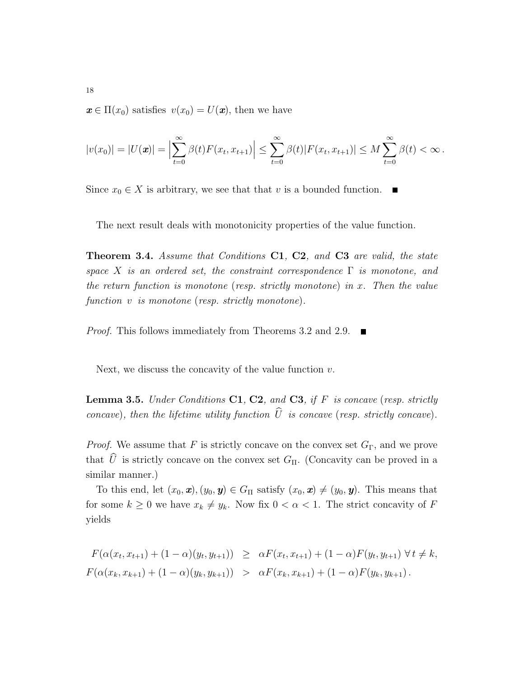$\mathbf{x} \in \Pi(x_0)$  satisfies  $v(x_0) = U(\mathbf{x})$ , then we have

$$
|v(x_0)| = |U(\pmb{x})| = \Big|\sum_{t=0}^{\infty} \beta(t) F(x_t, x_{t+1})\Big| \leq \sum_{t=0}^{\infty} \beta(t) |F(x_t, x_{t+1})| \leq M \sum_{t=0}^{\infty} \beta(t) < \infty.
$$

Since  $x_0 \in X$  is arbitrary, we see that that v is a bounded function.  $\blacksquare$ 

The next result deals with monotonicity properties of the value function.

Theorem 3.4. Assume that Conditions C1, C2, and C3 are valid, the state space X is an ordered set, the constraint correspondence  $\Gamma$  is monotone, and the return function is monotone (resp. strictly monotone) in x. Then the value function v is monotone (resp. strictly monotone).

*Proof.* This follows immediately from Theorems 3.2 and 2.9.  $\blacksquare$ 

Next, we discuss the concavity of the value function  $v$ .

**Lemma 3.5.** Under Conditions  $C1$ ,  $C2$ , and  $C3$ , if F is concave (resp. strictly concave), then the lifetime utility function  $\hat{U}$  is concave (resp. strictly concave).

*Proof.* We assume that F is strictly concave on the convex set  $G_{\Gamma}$ , and we prove that  $\widehat{U}$  is strictly concave on the convex set  $G_{\Pi}$ . (Concavity can be proved in a similar manner.)

To this end, let  $(x_0, \mathbf{x}), (y_0, \mathbf{y}) \in G_\Pi$  satisfy  $(x_0, \mathbf{x}) \neq (y_0, \mathbf{y})$ . This means that for some  $k \geq 0$  we have  $x_k \neq y_k$ . Now fix  $0 < \alpha < 1$ . The strict concavity of F yields

$$
F(\alpha(x_t, x_{t+1}) + (1 - \alpha)(y_t, y_{t+1})) \geq \alpha F(x_t, x_{t+1}) + (1 - \alpha)F(y_t, y_{t+1}) \forall t \neq k,
$$
  

$$
F(\alpha(x_k, x_{k+1}) + (1 - \alpha)(y_k, y_{k+1})) > \alpha F(x_k, x_{k+1}) + (1 - \alpha)F(y_k, y_{k+1}).
$$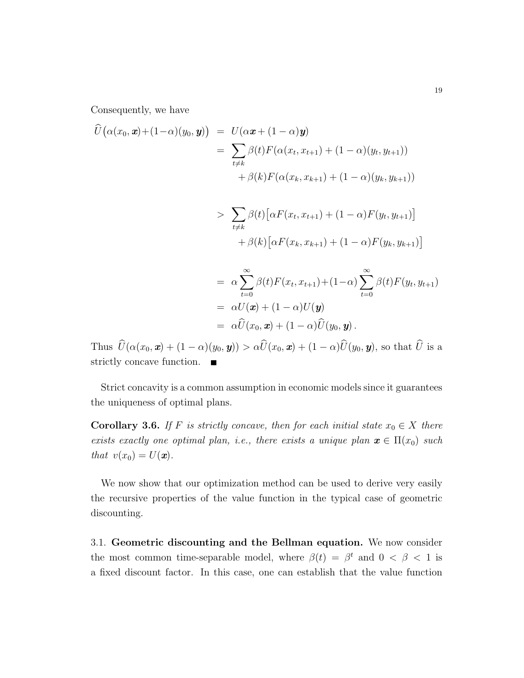Consequently, we have

$$
\hat{U}(\alpha(x_0, \mathbf{x}) + (1 - \alpha)(y_0, \mathbf{y})) = U(\alpha \mathbf{x} + (1 - \alpha)\mathbf{y}) \n= \sum_{t \neq k} \beta(t) F(\alpha(x_t, x_{t+1}) + (1 - \alpha)(y_t, y_{t+1})) \n+ \beta(k) F(\alpha(x_k, x_{k+1}) + (1 - \alpha)(y_k, y_{k+1})) \n> \sum_{t \neq k} \beta(t) [\alpha F(x_t, x_{t+1}) + (1 - \alpha) F(y_t, y_{t+1})] \n+ \beta(k) [\alpha F(x_k, x_{k+1}) + (1 - \alpha) F(y_k, y_{k+1})] \n= \alpha \sum_{t=0}^{\infty} \beta(t) F(x_t, x_{t+1}) + (1 - \alpha) \sum_{t=0}^{\infty} \beta(t) F(y_t, y_{t+1}) \n= \alpha U(\mathbf{x}) + (1 - \alpha) U(\mathbf{y}) \n= \alpha \hat{U}(x_0, \mathbf{x}) + (1 - \alpha) \hat{U}(y_0, \mathbf{y}).
$$

Thus  $\widehat{U}(\alpha(x_0, \boldsymbol{x}) + (1 - \alpha)(y_0, \boldsymbol{y})) > \alpha \widehat{U}(x_0, \boldsymbol{x}) + (1 - \alpha)\widehat{U}(y_0, \boldsymbol{y}),$  so that  $\widehat{U}$  is a strictly concave function.

Strict concavity is a common assumption in economic models since it guarantees the uniqueness of optimal plans.

Corollary 3.6. If F is strictly concave, then for each initial state  $x_0 \in X$  there exists exactly one optimal plan, i.e., there exists a unique plan  $\mathbf{x} \in \Pi(x_0)$  such that  $v(x_0) = U(\mathbf{x})$ .

We now show that our optimization method can be used to derive very easily the recursive properties of the value function in the typical case of geometric discounting.

3.1. Geometric discounting and the Bellman equation. We now consider the most common time-separable model, where  $\beta(t) = \beta^t$  and  $0 < \beta < 1$  is a fixed discount factor. In this case, one can establish that the value function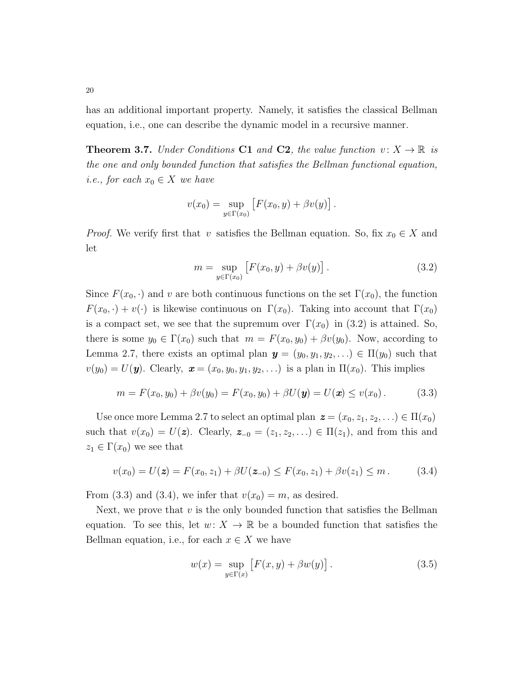has an additional important property. Namely, it satisfies the classical Bellman equation, i.e., one can describe the dynamic model in a recursive manner.

**Theorem 3.7.** Under Conditions C1 and C2, the value function  $v: X \to \mathbb{R}$  is the one and only bounded function that satisfies the Bellman functional equation, *i.e.*, for each  $x_0 \in X$  we have

$$
v(x_0) = \sup_{y \in \Gamma(x_0)} [F(x_0, y) + \beta v(y)].
$$

*Proof.* We verify first that v satisfies the Bellman equation. So, fix  $x_0 \in X$  and let

$$
m = \sup_{y \in \Gamma(x_0)} [F(x_0, y) + \beta v(y)].
$$
\n(3.2)

Since  $F(x_0, \cdot)$  and v are both continuous functions on the set  $\Gamma(x_0)$ , the function  $F(x_0, \cdot) + v(\cdot)$  is likewise continuous on  $\Gamma(x_0)$ . Taking into account that  $\Gamma(x_0)$ is a compact set, we see that the supremum over  $\Gamma(x_0)$  in (3.2) is attained. So, there is some  $y_0 \in \Gamma(x_0)$  such that  $m = F(x_0, y_0) + \beta v(y_0)$ . Now, according to Lemma 2.7, there exists an optimal plan  $y = (y_0, y_1, y_2, ...) \in \Pi(y_0)$  such that  $v(y_0) = U(\mathbf{y})$ . Clearly,  $\mathbf{x} = (x_0, y_0, y_1, y_2, \ldots)$  is a plan in  $\Pi(x_0)$ . This implies

$$
m = F(x_0, y_0) + \beta v(y_0) = F(x_0, y_0) + \beta U(\mathbf{y}) = U(\mathbf{x}) \le v(x_0).
$$
 (3.3)

Use once more Lemma 2.7 to select an optimal plan  $\boldsymbol{z} = (x_0, z_1, z_2, \ldots) \in \Pi(x_0)$ such that  $v(x_0) = U(z)$ . Clearly,  $z_{-0} = (z_1, z_2, \ldots) \in \Pi(z_1)$ , and from this and  $z_1 \in \Gamma(x_0)$  we see that

$$
v(x_0) = U(\mathbf{z}) = F(x_0, z_1) + \beta U(\mathbf{z}_{-0}) \leq F(x_0, z_1) + \beta v(z_1) \leq m. \tag{3.4}
$$

From (3.3) and (3.4), we infer that  $v(x_0) = m$ , as desired.

Next, we prove that  $v$  is the only bounded function that satisfies the Bellman equation. To see this, let  $w: X \to \mathbb{R}$  be a bounded function that satisfies the Bellman equation, i.e., for each  $x \in X$  we have

$$
w(x) = \sup_{y \in \Gamma(x)} [F(x, y) + \beta w(y)].
$$
 (3.5)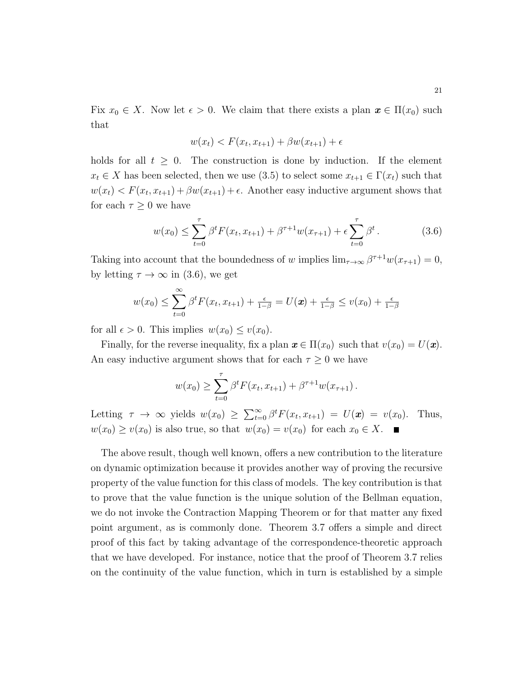Fix  $x_0 \in X$ . Now let  $\epsilon > 0$ . We claim that there exists a plan  $\mathbf{x} \in \Pi(x_0)$  such that

$$
w(x_t) < F(x_t, x_{t+1}) + \beta w(x_{t+1}) + \epsilon
$$

holds for all  $t \geq 0$ . The construction is done by induction. If the element  $x_t \in X$  has been selected, then we use (3.5) to select some  $x_{t+1} \in \Gamma(x_t)$  such that  $w(x_t) < F(x_t, x_{t+1}) + \beta w(x_{t+1}) + \epsilon$ . Another easy inductive argument shows that for each  $\tau \geq 0$  we have

$$
w(x_0) \le \sum_{t=0}^{\tau} \beta^t F(x_t, x_{t+1}) + \beta^{\tau+1} w(x_{\tau+1}) + \epsilon \sum_{t=0}^{\tau} \beta^t.
$$
 (3.6)

Taking into account that the boundedness of w implies  $\lim_{\tau \to \infty} \beta^{\tau+1} w(x_{\tau+1}) = 0$ , by letting  $\tau \to \infty$  in (3.6), we get

$$
w(x_0) \leq \sum_{t=0}^{\infty} \beta^t F(x_t, x_{t+1}) + \frac{\epsilon}{1-\beta} = U(\boldsymbol{x}) + \frac{\epsilon}{1-\beta} \leq v(x_0) + \frac{\epsilon}{1-\beta}
$$

for all  $\epsilon > 0$ . This implies  $w(x_0) \leq v(x_0)$ .

Finally, for the reverse inequality, fix a plan  $\mathbf{x} \in \Pi(x_0)$  such that  $v(x_0) = U(\mathbf{x})$ . An easy inductive argument shows that for each  $\tau \geq 0$  we have

$$
w(x_0) \ge \sum_{t=0}^{\tau} \beta^t F(x_t, x_{t+1}) + \beta^{\tau+1} w(x_{\tau+1}).
$$

Letting  $\tau \to \infty$  yields  $w(x_0) \geq \sum_{t=0}^{\infty} \beta^t F(x_t, x_{t+1}) = U(\mathbf{x}) = v(x_0)$ . Thus,  $w(x_0) \ge v(x_0)$  is also true, so that  $w(x_0) = v(x_0)$  for each  $x_0 \in X$ .

The above result, though well known, offers a new contribution to the literature on dynamic optimization because it provides another way of proving the recursive property of the value function for this class of models. The key contribution is that to prove that the value function is the unique solution of the Bellman equation, we do not invoke the Contraction Mapping Theorem or for that matter any fixed point argument, as is commonly done. Theorem 3.7 offers a simple and direct proof of this fact by taking advantage of the correspondence-theoretic approach that we have developed. For instance, notice that the proof of Theorem 3.7 relies on the continuity of the value function, which in turn is established by a simple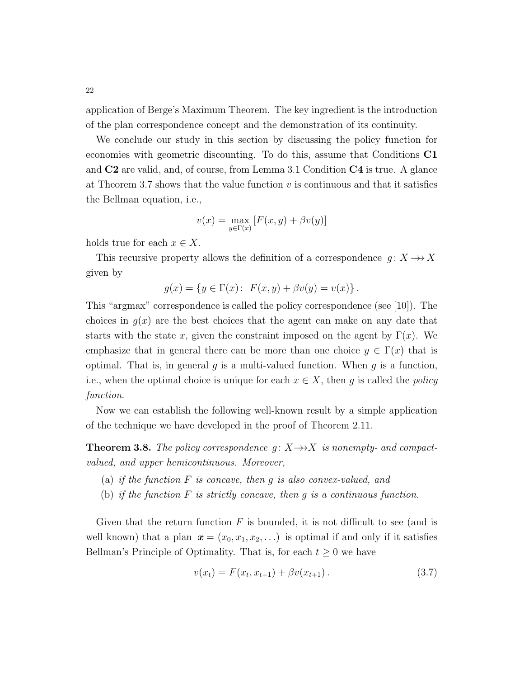application of Berge's Maximum Theorem. The key ingredient is the introduction of the plan correspondence concept and the demonstration of its continuity.

We conclude our study in this section by discussing the policy function for economies with geometric discounting. To do this, assume that Conditions C1 and C2 are valid, and, of course, from Lemma 3.1 Condition C4 is true. A glance at Theorem 3.7 shows that the value function  $v$  is continuous and that it satisfies the Bellman equation, i.e.,

$$
v(x) = \max_{y \in \Gamma(x)} [F(x, y) + \beta v(y)]
$$

holds true for each  $x \in X$ .

This recursive property allows the definition of a correspondence  $g: X \rightarrow X$ given by

$$
g(x) = \{ y \in \Gamma(x) : F(x, y) + \beta v(y) = v(x) \}.
$$

This "argmax" correspondence is called the policy correspondence (see [10]). The choices in  $q(x)$  are the best choices that the agent can make on any date that starts with the state x, given the constraint imposed on the agent by  $\Gamma(x)$ . We emphasize that in general there can be more than one choice  $y \in \Gamma(x)$  that is optimal. That is, in general q is a multi-valued function. When  $q$  is a function, i.e., when the optimal choice is unique for each  $x \in X$ , then g is called the policy function.

Now we can establish the following well-known result by a simple application of the technique we have developed in the proof of Theorem 2.11.

**Theorem 3.8.** The policy correspondence  $g: X \rightarrow X$  is nonempty- and compactvalued, and upper hemicontinuous. Moreover,

- (a) if the function  $F$  is concave, then  $q$  is also convex-valued, and
- (b) if the function  $F$  is strictly concave, then  $g$  is a continuous function.

Given that the return function  $F$  is bounded, it is not difficult to see (and is well known) that a plan  $\mathbf{x} = (x_0, x_1, x_2, \ldots)$  is optimal if and only if it satisfies Bellman's Principle of Optimality. That is, for each  $t \geq 0$  we have

$$
v(x_t) = F(x_t, x_{t+1}) + \beta v(x_{t+1}). \tag{3.7}
$$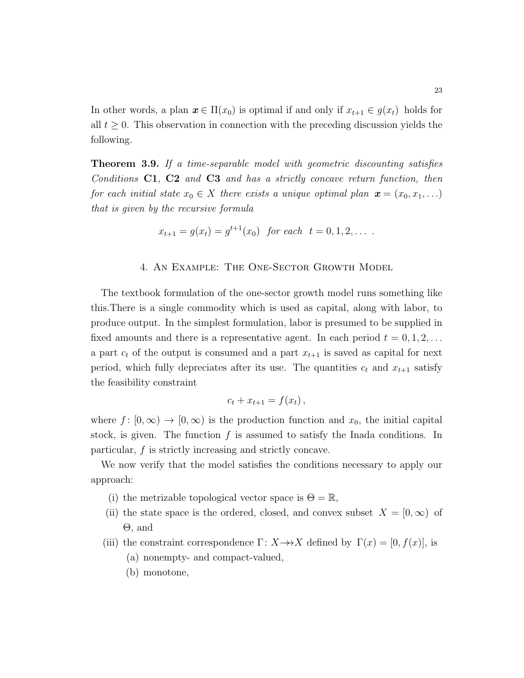In other words, a plan  $x \in \Pi(x_0)$  is optimal if and only if  $x_{t+1} \in g(x_t)$  holds for all  $t \geq 0$ . This observation in connection with the preceding discussion yields the following.

**Theorem 3.9.** If a time-separable model with geometric discounting satisfies Conditions  $C1$ ,  $C2$  and  $C3$  and has a strictly concave return function, then for each initial state  $x_0 \in X$  there exists a unique optimal plan  $\mathbf{x} = (x_0, x_1, \ldots)$ that is given by the recursive formula

$$
x_{t+1} = g(x_t) = g^{t+1}(x_0) \text{ for each } t = 0, 1, 2, \dots
$$

#### 4. An Example: The One-Sector Growth Model

The textbook formulation of the one-sector growth model runs something like this.There is a single commodity which is used as capital, along with labor, to produce output. In the simplest formulation, labor is presumed to be supplied in fixed amounts and there is a representative agent. In each period  $t = 0, 1, 2, \ldots$ a part  $c_t$  of the output is consumed and a part  $x_{t+1}$  is saved as capital for next period, which fully depreciates after its use. The quantities  $c_t$  and  $x_{t+1}$  satisfy the feasibility constraint

$$
c_t + x_{t+1} = f(x_t),
$$

where  $f: [0, \infty) \to [0, \infty)$  is the production function and  $x_0$ , the initial capital stock, is given. The function  $f$  is assumed to satisfy the Inada conditions. In particular, f is strictly increasing and strictly concave.

We now verify that the model satisfies the conditions necessary to apply our approach:

- (i) the metrizable topological vector space is  $\Theta = \mathbb{R}$ ,
- (ii) the state space is the ordered, closed, and convex subset  $X = [0, \infty)$  of Θ, and
- (iii) the constraint correspondence  $\Gamma: X \rightarrow X$  defined by  $\Gamma(x) = [0, f(x)]$ , is
	- (a) nonempty- and compact-valued,
	- (b) monotone,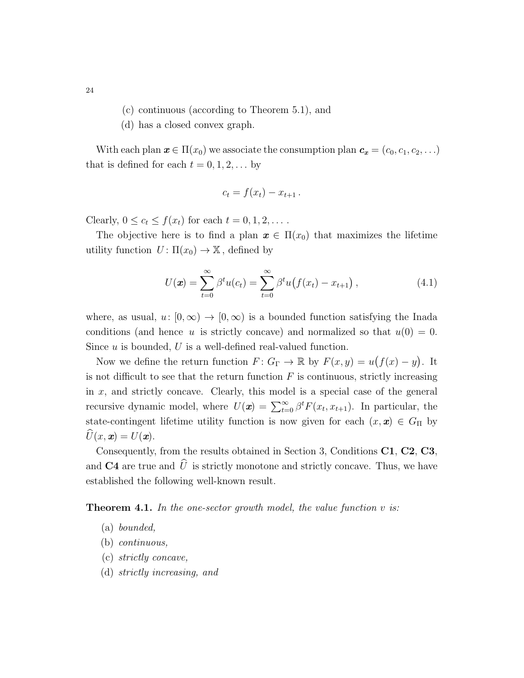- (c) continuous (according to Theorem 5.1), and
- (d) has a closed convex graph.

With each plan  $\mathbf{x} \in \Pi(x_0)$  we associate the consumption plan  $\mathbf{c_x} = (c_0, c_1, c_2, \ldots)$ that is defined for each  $t = 0, 1, 2, \ldots$  by

$$
c_t = f(x_t) - x_{t+1}.
$$

Clearly,  $0 \leq c_t \leq f(x_t)$  for each  $t = 0, 1, 2, \ldots$ .

The objective here is to find a plan  $x \in \Pi(x_0)$  that maximizes the lifetime utility function  $U: \Pi(x_0) \to \mathbb{X}$ , defined by

$$
U(\mathbf{x}) = \sum_{t=0}^{\infty} \beta^t u(c_t) = \sum_{t=0}^{\infty} \beta^t u(f(x_t) - x_{t+1}), \qquad (4.1)
$$

where, as usual,  $u: [0, \infty) \to [0, \infty)$  is a bounded function satisfying the Inada conditions (and hence u is strictly concave) and normalized so that  $u(0) = 0$ . Since  $u$  is bounded,  $U$  is a well-defined real-valued function.

Now we define the return function  $F: G_{\Gamma} \to \mathbb{R}$  by  $F(x, y) = u(f(x) - y)$ . It is not difficult to see that the return function  $F$  is continuous, strictly increasing in x, and strictly concave. Clearly, this model is a special case of the general recursive dynamic model, where  $U(\mathbf{x}) = \sum_{t=0}^{\infty} \beta^t F(x_t, x_{t+1})$ . In particular, the state-contingent lifetime utility function is now given for each  $(x, x) \in G_{\Pi}$  by  $U(x, x) = U(x)$ .

Consequently, from the results obtained in Section 3, Conditions C1, C2, C3, and  $C4$  are true and  $\hat{U}$  is strictly monotone and strictly concave. Thus, we have established the following well-known result.

**Theorem 4.1.** In the one-sector growth model, the value function  $v$  is:

- (a) bounded,
- (b) continuous,
- (c) strictly concave,
- (d) strictly increasing, and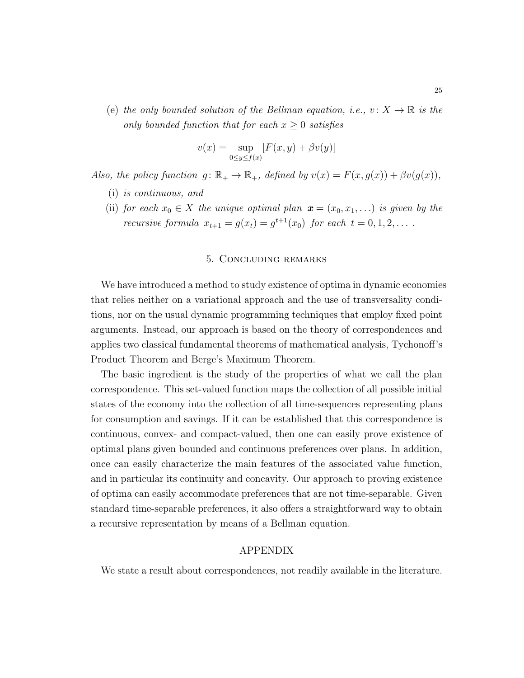(e) the only bounded solution of the Bellman equation, i.e.,  $v: X \to \mathbb{R}$  is the only bounded function that for each  $x \geq 0$  satisfies

$$
v(x) = \sup_{0 \le y \le f(x)} [F(x, y) + \beta v(y)]
$$

Also, the policy function  $g: \mathbb{R}_+ \to \mathbb{R}_+$ , defined by  $v(x) = F(x, g(x)) + \beta v(g(x))$ ,

- (i) is continuous, and
- (ii) for each  $x_0 \in X$  the unique optimal plan  $\mathbf{x} = (x_0, x_1, \ldots)$  is given by the *recursive formula*  $x_{t+1} = g(x_t) = g^{t+1}(x_0)$  *for each*  $t = 0, 1, 2, ...$

#### 5. Concluding remarks

We have introduced a method to study existence of optima in dynamic economies that relies neither on a variational approach and the use of transversality conditions, nor on the usual dynamic programming techniques that employ fixed point arguments. Instead, our approach is based on the theory of correspondences and applies two classical fundamental theorems of mathematical analysis, Tychonoff's Product Theorem and Berge's Maximum Theorem.

The basic ingredient is the study of the properties of what we call the plan correspondence. This set-valued function maps the collection of all possible initial states of the economy into the collection of all time-sequences representing plans for consumption and savings. If it can be established that this correspondence is continuous, convex- and compact-valued, then one can easily prove existence of optimal plans given bounded and continuous preferences over plans. In addition, once can easily characterize the main features of the associated value function, and in particular its continuity and concavity. Our approach to proving existence of optima can easily accommodate preferences that are not time-separable. Given standard time-separable preferences, it also offers a straightforward way to obtain a recursive representation by means of a Bellman equation.

#### APPENDIX

We state a result about correspondences, not readily available in the literature.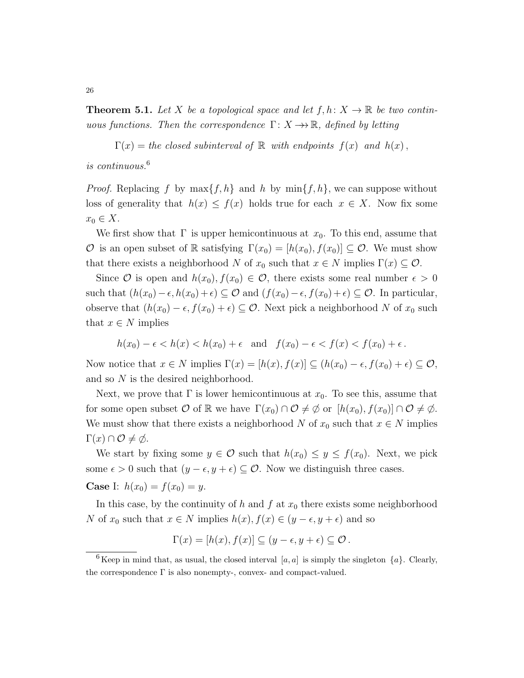**Theorem 5.1.** Let X be a topological space and let  $f, h: X \to \mathbb{R}$  be two continuous functions. Then the correspondence  $\Gamma: X \rightarrow \mathbb{R}$ , defined by letting

 $\Gamma(x) =$  the closed subinterval of R with endpoints  $f(x)$  and  $h(x)$ ,

is continuous.<sup>6</sup>

*Proof.* Replacing f by  $\max\{f, h\}$  and h by  $\min\{f, h\}$ , we can suppose without loss of generality that  $h(x) \leq f(x)$  holds true for each  $x \in X$ . Now fix some  $x_0 \in X$ .

We first show that  $\Gamma$  is upper hemicontinuous at  $x_0$ . To this end, assume that O is an open subset of R satisfying  $\Gamma(x_0) = [h(x_0), f(x_0)] \subseteq \mathcal{O}$ . We must show that there exists a neighborhood N of  $x_0$  such that  $x \in N$  implies  $\Gamma(x) \subseteq \mathcal{O}$ .

Since  $\mathcal O$  is open and  $h(x_0), f(x_0) \in \mathcal O$ , there exists some real number  $\epsilon > 0$ such that  $(h(x_0)-\epsilon, h(x_0)+\epsilon) \subseteq \mathcal{O}$  and  $(f(x_0)-\epsilon, f(x_0)+\epsilon) \subseteq \mathcal{O}$ . In particular, observe that  $(h(x_0) - \epsilon, f(x_0) + \epsilon) \subseteq \mathcal{O}$ . Next pick a neighborhood N of  $x_0$  such that  $x \in N$  implies

$$
h(x_0) - \epsilon < h(x) < h(x_0) + \epsilon \quad \text{and} \quad f(x_0) - \epsilon < f(x) < f(x_0) + \epsilon \, .
$$

Now notice that  $x \in N$  implies  $\Gamma(x) = [h(x), f(x)] \subseteq (h(x_0) - \epsilon, f(x_0) + \epsilon) \subseteq \mathcal{O}$ , and so N is the desired neighborhood.

Next, we prove that  $\Gamma$  is lower hemicontinuous at  $x_0$ . To see this, assume that for some open subset O of R we have  $\Gamma(x_0) \cap \mathcal{O} \neq \emptyset$  or  $[h(x_0), f(x_0)] \cap \mathcal{O} \neq \emptyset$ . We must show that there exists a neighborhood N of  $x_0$  such that  $x \in N$  implies  $\Gamma(x) \cap \mathcal{O} \neq \emptyset$ .

We start by fixing some  $y \in \mathcal{O}$  such that  $h(x_0) \leq y \leq f(x_0)$ . Next, we pick some  $\epsilon > 0$  such that  $(y - \epsilon, y + \epsilon) \subseteq \mathcal{O}$ . Now we distinguish three cases.

**Case** I:  $h(x_0) = f(x_0) = y$ .

In this case, by the continuity of h and f at  $x_0$  there exists some neighborhood N of  $x_0$  such that  $x \in N$  implies  $h(x)$ ,  $f(x) \in (y - \epsilon, y + \epsilon)$  and so

$$
\Gamma(x) = [h(x), f(x)] \subseteq (y - \epsilon, y + \epsilon) \subseteq \mathcal{O}.
$$

26

<sup>&</sup>lt;sup>6</sup> Keep in mind that, as usual, the closed interval [a, a] is simply the singleton  $\{a\}$ . Clearly, the correspondence  $\Gamma$  is also nonempty-, convex- and compact-valued.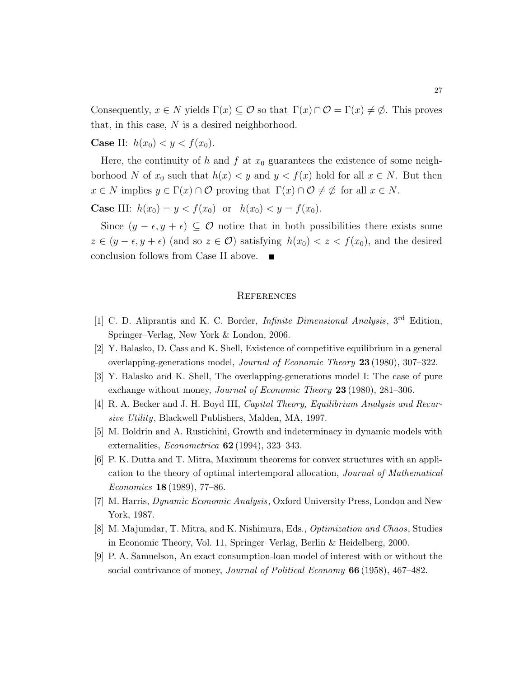Consequently,  $x \in N$  yields  $\Gamma(x) \subseteq \mathcal{O}$  so that  $\Gamma(x) \cap \mathcal{O} = \Gamma(x) \neq \emptyset$ . This proves that, in this case,  $N$  is a desired neighborhood.

**Case II:**  $h(x_0) < y < f(x_0)$ .

Here, the continuity of h and f at  $x_0$  guarantees the existence of some neighborhood N of  $x_0$  such that  $h(x) < y$  and  $y < f(x)$  hold for all  $x \in N$ . But then  $x \in N$  implies  $y \in \Gamma(x) \cap \mathcal{O}$  proving that  $\Gamma(x) \cap \mathcal{O} \neq \emptyset$  for all  $x \in N$ .

**Case III:**  $h(x_0) = y < f(x_0)$  or  $h(x_0) < y = f(x_0)$ .

Since  $(y - \epsilon, y + \epsilon) \subseteq \mathcal{O}$  notice that in both possibilities there exists some  $z \in (y - \epsilon, y + \epsilon)$  (and so  $z \in \mathcal{O}$ ) satisfying  $h(x_0) < z < f(x_0)$ , and the desired conclusion follows from Case II above.

#### **REFERENCES**

- [1] C. D. Aliprantis and K. C. Border, *Infinite Dimensional Analysis*, 3<sup>rd</sup> Edition. Springer–Verlag, New York & London, 2006.
- [2] Y. Balasko, D. Cass and K. Shell, Existence of competitive equilibrium in a general overlapping-generations model, Journal of Economic Theory 23 (1980), 307–322.
- [3] Y. Balasko and K. Shell, The overlapping-generations model I: The case of pure exchange without money, *Journal of Economic Theory* 23 (1980), 281–306.
- [4] R. A. Becker and J. H. Boyd III, Capital Theory, Equilibrium Analysis and Recursive Utility, Blackwell Publishers, Malden, MA, 1997.
- [5] M. Boldrin and A. Rustichini, Growth and indeterminacy in dynamic models with externalities, Econometrica 62 (1994), 323–343.
- [6] P. K. Dutta and T. Mitra, Maximum theorems for convex structures with an application to the theory of optimal intertemporal allocation, Journal of Mathematical Economics 18 (1989), 77–86.
- [7] M. Harris, Dynamic Economic Analysis, Oxford University Press, London and New York, 1987.
- [8] M. Majumdar, T. Mitra, and K. Nishimura, Eds., Optimization and Chaos, Studies in Economic Theory, Vol. 11, Springer–Verlag, Berlin & Heidelberg, 2000.
- [9] P. A. Samuelson, An exact consumption-loan model of interest with or without the social contrivance of money, *Journal of Political Economy* **66** (1958), 467–482.